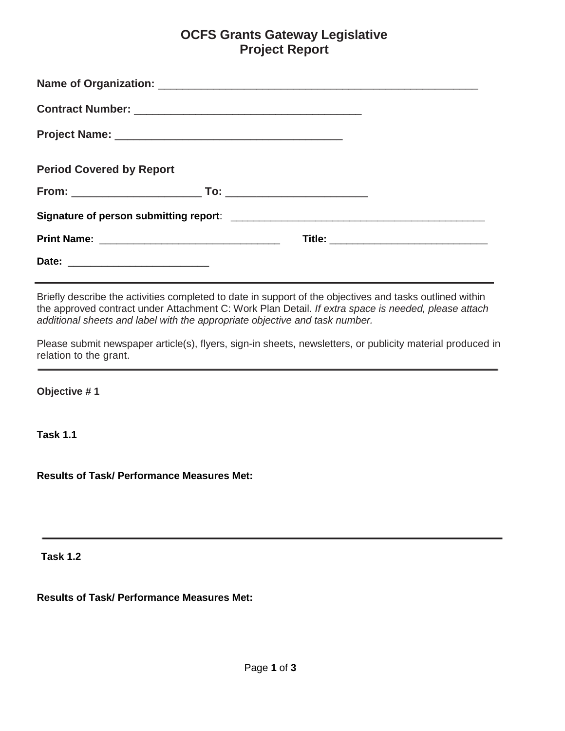### **OCFS Grants Gateway Legislative Project Report**

| <b>Period Covered by Report</b> |  |                                          |
|---------------------------------|--|------------------------------------------|
|                                 |  |                                          |
|                                 |  |                                          |
|                                 |  | Title: _________________________________ |
|                                 |  |                                          |

 Briefly describe the activities completed to date in support of the objectives and tasks outlined within the approved contract under Attachment C: Work Plan Detail. *If extra space is needed, please attach additional sheets and label with the appropriate objective and task number.*

Please submit newspaper article(s), flyers, sign-in sheets, newsletters, or publicity material produced in relation to the grant.

**Objective # 1**

**Task 1.1**

**Results of Task/ Performance Measures Met:** 

**Task 1.2**

**Results of Task/ Performance Measures Met:**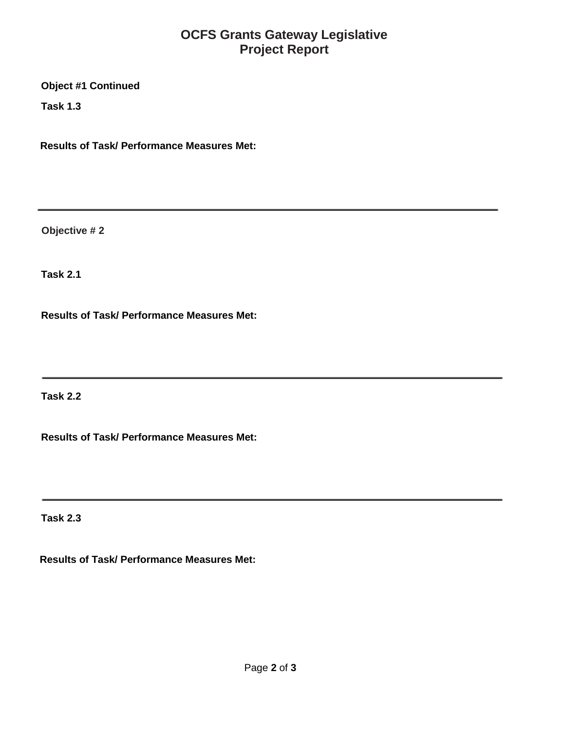# **OCFS Grants Gateway Legislative Project Report**

**Object #1 Continued**

**Task 1.3**

**Results of Task/ Performance Measures Met:**

**Objective # 2**

**Task 2.1**

**Results of Task/ Performance Measures Met:**

**Task 2.2**

**Results of Task/ Performance Measures Met:**

**Task 2.3**

**Results of Task/ Performance Measures Met:**